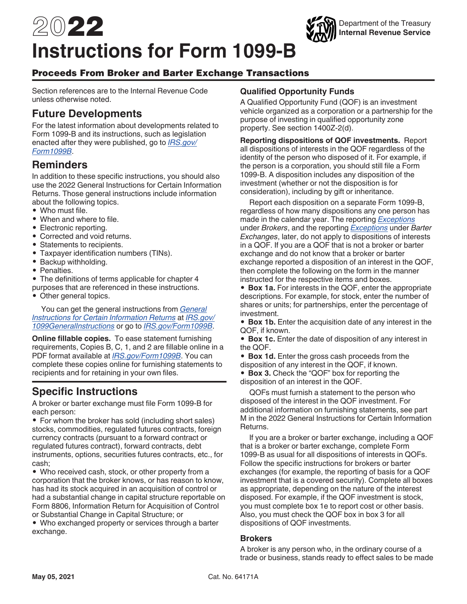# 2022 **Instructions for Form 1099-B**

# Proceeds From Broker and Barter Exchange Transactions

Section references are to the Internal Revenue Code unless otherwise noted.

# **Future Developments**

For the latest information about developments related to Form 1099-B and its instructions, such as legislation enacted after they were published, go to *[IRS.gov/](https://www.irs.gov/form1099b) [Form1099B](https://www.irs.gov/form1099b)*.

# **Reminders**

In addition to these specific instructions, you should also use the 2022 General Instructions for Certain Information Returns. Those general instructions include information about the following topics.

- Who must file.
- When and where to file.
- Electronic reporting.
- Corrected and void returns.
- Statements to recipients.
- Taxpayer identification numbers (TINs).
- Backup withholding.
- Penalties.
- The definitions of terms applicable for chapter 4
- purposes that are referenced in these instructions.
- Other general topics.

You can get the general instructions from *[General](https://www.irs.gov/uac/about-form-1099) [Instructions for Certain Information Returns](https://www.irs.gov/uac/about-form-1099)* at *[IRS.gov/](https://www.irs.gov/uac/about-form-1099) [1099GeneralInstructions](https://www.irs.gov/uac/about-form-1099)* or go to *[IRS.gov/Form1099B](https://www.irs.gov/form1099b)*.

**Online fillable copies.** To ease statement furnishing requirements, Copies B, C, 1, and 2 are fillable online in a PDF format available at *[IRS.gov/Form1099B](https://www.irs.gov/F1099b)*. You can complete these copies online for furnishing statements to recipients and for retaining in your own files.

# **Specific Instructions**

A broker or barter exchange must file Form 1099-B for each person:

• For whom the broker has sold (including short sales) stocks, commodities, regulated futures contracts, foreign currency contracts (pursuant to a forward contract or regulated futures contract), forward contracts, debt instruments, options, securities futures contracts, etc., for cash;

• Who received cash, stock, or other property from a corporation that the broker knows, or has reason to know, has had its stock acquired in an acquisition of control or had a substantial change in capital structure reportable on Form 8806, Information Return for Acquisition of Control or Substantial Change in Capital Structure; or

• Who exchanged property or services through a barter exchange.

# **Qualified Opportunity Funds**

A Qualified Opportunity Fund (QOF) is an investment vehicle organized as a corporation or a partnership for the purpose of investing in qualified opportunity zone property. See section 1400Z-2(d).

Department of the Treasury **Internal Revenue Service**

**Reporting dispositions of QOF investments.** Report all dispositions of interests in the QOF regardless of the identity of the person who disposed of it. For example, if the person is a corporation, you should still file a Form 1099-B. A disposition includes any disposition of the investment (whether or not the disposition is for consideration), including by gift or inheritance.

Report each disposition on a separate Form 1099-B, regardless of how many dispositions any one person has made in the calendar year. The reporting *[Exceptions](#page-3-0)*  under *Brokers*, and the reporting *[Exceptions](#page-6-0)* under *Barter Exchanges*, later, do not apply to dispositions of interests in a QOF. If you are a QOF that is not a broker or barter exchange and do not know that a broker or barter exchange reported a disposition of an interest in the QOF, then complete the following on the form in the manner instructed for the respective items and boxes.

• **Box 1a.** For interests in the QOF, enter the appropriate descriptions. For example, for stock, enter the number of shares or units; for partnerships, enter the percentage of investment.

• **Box 1b.** Enter the acquisition date of any interest in the QOF, if known.

• **Box 1c.** Enter the date of disposition of any interest in the QOF.

- **Box 1d.** Enter the gross cash proceeds from the disposition of any interest in the QOF, if known.
- **Box 3.** Check the "QOF" box for reporting the disposition of an interest in the QOF.

QOFs must furnish a statement to the person who disposed of the interest in the QOF investment. For additional information on furnishing statements, see part M in the 2022 General Instructions for Certain Information Returns.

If you are a broker or barter exchange, including a QOF that is a broker or barter exchange, complete Form 1099-B as usual for all dispositions of interests in QOFs. Follow the specific instructions for brokers or barter exchanges (for example, the reporting of basis for a QOF investment that is a covered security). Complete all boxes as appropriate, depending on the nature of the interest disposed. For example, if the QOF investment is stock, you must complete box 1e to report cost or other basis. Also, you must check the QOF box in box 3 for all dispositions of QOF investments.

#### **Brokers**

A broker is any person who, in the ordinary course of a trade or business, stands ready to effect sales to be made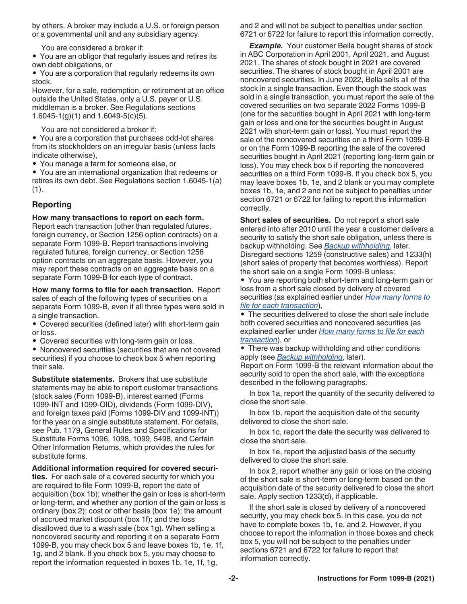<span id="page-1-0"></span>by others. A broker may include a U.S. or foreign person or a governmental unit and any subsidiary agency.

You are considered a broker if:

• You are an obligor that regularly issues and retires its own debt obligations, or

• You are a corporation that regularly redeems its own stock.

However, for a sale, redemption, or retirement at an office outside the United States, only a U.S. payer or U.S. middleman is a broker. See Regulations sections 1.6045-1(g)(1) and 1.6049-5(c)(5).

You are not considered a broker if:

• You are a corporation that purchases odd-lot shares from its stockholders on an irregular basis (unless facts indicate otherwise),

• You manage a farm for someone else, or

• You are an international organization that redeems or retires its own debt. See Regulations section 1.6045-1(a)  $(1).$ 

# **Reporting**

**How many transactions to report on each form.** 

Report each transaction (other than regulated futures, foreign currency, or Section 1256 option contracts) on a separate Form 1099-B. Report transactions involving regulated futures, foreign currency, or Section 1256 option contracts on an aggregate basis. However, you may report these contracts on an aggregate basis on a separate Form 1099-B for each type of contract.

**How many forms to file for each transaction.** Report sales of each of the following types of securities on a separate Form 1099-B, even if all three types were sold in a single transaction.

• Covered securities (defined later) with short-term gain or loss.

• Covered securities with long-term gain or loss.

• Noncovered securities (securities that are not covered securities) if you choose to check box 5 when reporting their sale.

**Substitute statements.** Brokers that use substitute statements may be able to report customer transactions (stock sales (Form 1099-B), interest earned (Forms 1099-INT and 1099-OID), dividends (Form 1099-DIV), and foreign taxes paid (Forms 1099-DIV and 1099-INT)) for the year on a single substitute statement. For details, see Pub. 1179, General Rules and Specifications for Substitute Forms 1096, 1098, 1099, 5498, and Certain Other Information Returns, which provides the rules for substitute forms.

**Additional information required for covered securi-**

**ties.** For each sale of a covered security for which you are required to file Form 1099-B, report the date of acquisition (box 1b); whether the gain or loss is short-term or long-term, and whether any portion of the gain or loss is ordinary (box 2); cost or other basis (box 1e); the amount of accrued market discount (box 1f); and the loss disallowed due to a wash sale (box 1g). When selling a noncovered security and reporting it on a separate Form 1099-B, you may check box 5 and leave boxes 1b, 1e, 1f, 1g, and 2 blank. If you check box 5, you may choose to report the information requested in boxes 1b, 1e, 1f, 1g,

and 2 and will not be subject to penalties under section 6721 or 6722 for failure to report this information correctly.

**Example.** Your customer Bella bought shares of stock in ABC Corporation in April 2001, April 2021, and August 2021. The shares of stock bought in 2021 are covered securities. The shares of stock bought in April 2001 are noncovered securities. In June 2022, Bella sells all of the stock in a single transaction. Even though the stock was sold in a single transaction, you must report the sale of the covered securities on two separate 2022 Forms 1099-B (one for the securities bought in April 2021 with long-term gain or loss and one for the securities bought in August 2021 with short-term gain or loss). You must report the sale of the noncovered securities on a third Form 1099-B or on the Form 1099-B reporting the sale of the covered securities bought in April 2021 (reporting long-term gain or loss). You may check box 5 if reporting the noncovered securities on a third Form 1099-B. If you check box 5, you may leave boxes 1b, 1e, and 2 blank or you may complete boxes 1b, 1e, and 2 and not be subject to penalties under section 6721 or 6722 for failing to report this information correctly.

**Short sales of securities.** Do not report a short sale entered into after 2010 until the year a customer delivers a security to satisfy the short sale obligation, unless there is backup withholding. See *[Backup withholding](#page-2-0)*, later. Disregard sections 1259 (constructive sales) and 1233(h) (short sales of property that becomes worthless). Report the short sale on a single Form 1099-B unless:

• You are reporting both short-term and long-term gain or loss from a short sale closed by delivery of covered securities (as explained earlier under *How many forms to file for each transaction*),

• The securities delivered to close the short sale include both covered securities and noncovered securities (as explained earlier under *How many forms to file for each transaction*), or

• There was backup withholding and other conditions apply (see *[Backup withholding](#page-2-0)*, later).

Report on Form 1099-B the relevant information about the security sold to open the short sale, with the exceptions described in the following paragraphs.

In box 1a, report the quantity of the security delivered to close the short sale.

In box 1b, report the acquisition date of the security delivered to close the short sale.

In box 1c, report the date the security was delivered to close the short sale.

In box 1e, report the adjusted basis of the security delivered to close the short sale.

In box 2, report whether any gain or loss on the closing of the short sale is short-term or long-term based on the acquisition date of the security delivered to close the short sale. Apply section 1233(d), if applicable.

If the short sale is closed by delivery of a noncovered security, you may check box 5. In this case, you do not have to complete boxes 1b, 1e, and 2. However, if you choose to report the information in those boxes and check box 5, you will not be subject to the penalties under sections 6721 and 6722 for failure to report that information correctly.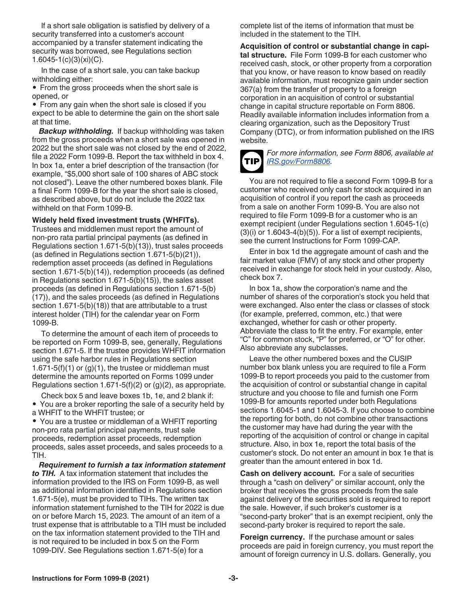<span id="page-2-0"></span>If a short sale obligation is satisfied by delivery of a security transferred into a customer's account accompanied by a transfer statement indicating the security was borrowed, see Regulations section 1.6045-1(c)(3)(xi)(C).

In the case of a short sale, you can take backup withholding either:

• From the gross proceeds when the short sale is opened, or

• From any gain when the short sale is closed if you expect to be able to determine the gain on the short sale at that time.

*Backup withholding.* If backup withholding was taken from the gross proceeds when a short sale was opened in 2022 but the short sale was not closed by the end of 2022, file a 2022 Form 1099-B. Report the tax withheld in box 4. In box 1a, enter a brief description of the transaction (for example, "\$5,000 short sale of 100 shares of ABC stock not closed"). Leave the other numbered boxes blank. File a final Form 1099-B for the year the short sale is closed, as described above, but do not include the 2022 tax withheld on that Form 1099-B.

#### **Widely held fixed investment trusts (WHFITs).**

Trustees and middlemen must report the amount of non-pro rata partial principal payments (as defined in Regulations section 1.671-5(b)(13)), trust sales proceeds (as defined in Regulations section 1.671-5(b)(21)), redemption asset proceeds (as defined in Regulations section 1.671-5(b)(14)), redemption proceeds (as defined in Regulations section 1.671-5(b)(15)), the sales asset proceeds (as defined in Regulations section 1.671-5(b) (17)), and the sales proceeds (as defined in Regulations section 1.671-5(b)(18)) that are attributable to a trust interest holder (TIH) for the calendar year on Form 1099-B.

To determine the amount of each item of proceeds to be reported on Form 1099-B, see, generally, Regulations section 1.671-5. If the trustee provides WHFIT information using the safe harbor rules in Regulations section 1.671-5(f)(1) or  $(g)(1)$ , the trustee or middleman must determine the amounts reported on Forms 1099 under Regulations section 1.671-5(f)(2) or (g)(2), as appropriate.

Check box 5 and leave boxes 1b, 1e, and 2 blank if:

• You are a broker reporting the sale of a security held by a WHFIT to the WHFIT trustee; or

• You are a trustee or middleman of a WHFIT reporting non-pro rata partial principal payments, trust sale proceeds, redemption asset proceeds, redemption proceeds, sales asset proceeds, and sales proceeds to a TIH.

*Requirement to furnish a tax information statement to TIH.* A tax information statement that includes the information provided to the IRS on Form 1099-B, as well as additional information identified in Regulations section 1.671-5(e), must be provided to TIHs. The written tax information statement furnished to the TIH for 2022 is due on or before March 15, 2023. The amount of an item of a trust expense that is attributable to a TIH must be included on the tax information statement provided to the TIH and is not required to be included in box 5 on the Form 1099-DIV. See Regulations section 1.671-5(e) for a

complete list of the items of information that must be included in the statement to the TIH.

**Acquisition of control or substantial change in capital structure.** File Form 1099-B for each customer who received cash, stock, or other property from a corporation that you know, or have reason to know based on readily available information, must recognize gain under section 367(a) from the transfer of property to a foreign corporation in an acquisition of control or substantial change in capital structure reportable on Form 8806. Readily available information includes information from a clearing organization, such as the Depository Trust Company (DTC), or from information published on the IRS website.



#### *For more information, see Form 8806, available at [IRS.gov/Form8806](https://www.irs.gov/form8806).*

You are not required to file a second Form 1099-B for a customer who received only cash for stock acquired in an acquisition of control if you report the cash as proceeds from a sale on another Form 1099-B. You are also not required to file Form 1099-B for a customer who is an exempt recipient (under Regulations section 1.6045-1(c)  $(3)(i)$  or 1.6043-4 $(b)(5)$ ). For a list of exempt recipients, see the current Instructions for Form 1099-CAP.

Enter in box 1d the aggregate amount of cash and the fair market value (FMV) of any stock and other property received in exchange for stock held in your custody. Also, check box 7.

In box 1a, show the corporation's name and the number of shares of the corporation's stock you held that were exchanged. Also enter the class or classes of stock (for example, preferred, common, etc.) that were exchanged, whether for cash or other property. Abbreviate the class to fit the entry. For example, enter "C" for common stock, "P" for preferred, or "O" for other. Also abbreviate any subclasses.

Leave the other numbered boxes and the CUSIP number box blank unless you are required to file a Form 1099-B to report proceeds you paid to the customer from the acquisition of control or substantial change in capital structure and you choose to file and furnish one Form 1099-B for amounts reported under both Regulations sections 1.6045-1 and 1.6045-3. If you choose to combine the reporting for both, do not combine other transactions the customer may have had during the year with the reporting of the acquisition of control or change in capital structure. Also, in box 1e, report the total basis of the customer's stock. Do not enter an amount in box 1e that is greater than the amount entered in box 1d.

**Cash on delivery account.** For a sale of securities through a "cash on delivery" or similar account, only the broker that receives the gross proceeds from the sale against delivery of the securities sold is required to report the sale. However, if such broker's customer is a "second-party broker" that is an exempt recipient, only the second-party broker is required to report the sale.

**Foreign currency.** If the purchase amount or sales proceeds are paid in foreign currency, you must report the amount of foreign currency in U.S. dollars. Generally, you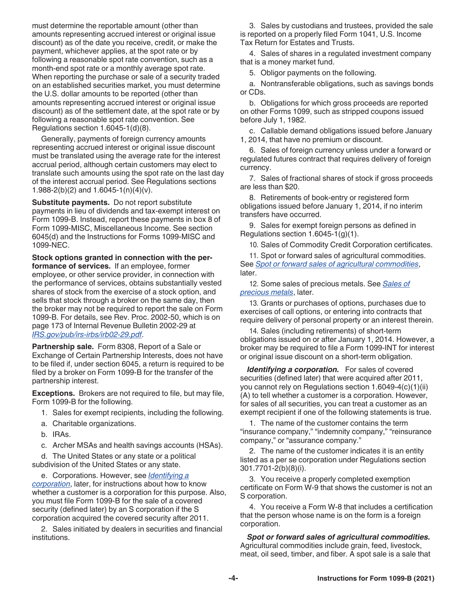<span id="page-3-0"></span>must determine the reportable amount (other than amounts representing accrued interest or original issue discount) as of the date you receive, credit, or make the payment, whichever applies, at the spot rate or by following a reasonable spot rate convention, such as a month-end spot rate or a monthly average spot rate. When reporting the purchase or sale of a security traded on an established securities market, you must determine the U.S. dollar amounts to be reported (other than amounts representing accrued interest or original issue discount) as of the settlement date, at the spot rate or by following a reasonable spot rate convention. See Regulations section 1.6045-1(d)(8).

Generally, payments of foreign currency amounts representing accrued interest or original issue discount must be translated using the average rate for the interest accrual period, although certain customers may elect to translate such amounts using the spot rate on the last day of the interest accrual period. See Regulations sections 1.988-2(b)(2) and 1.6045-1(n)(4)(v).

**Substitute payments.** Do not report substitute payments in lieu of dividends and tax-exempt interest on Form 1099-B. Instead, report these payments in box 8 of Form 1099-MISC, Miscellaneous Income. See section 6045(d) and the Instructions for Forms 1099-MISC and 1099-NEC.

**Stock options granted in connection with the performance of services.** If an employee, former employee, or other service provider, in connection with the performance of services, obtains substantially vested shares of stock from the exercise of a stock option, and sells that stock through a broker on the same day, then the broker may not be required to report the sale on Form 1099-B. For details, see Rev. Proc. 2002-50, which is on page 173 of Internal Revenue Bulletin 2002-29 at *[IRS.gov/pub/irs-irbs/irb02-29.pdf](https://www.irs.gov/pub/irs-irbs/irb02-29.pdf)*.

**Partnership sale.** Form 8308, Report of a Sale or Exchange of Certain Partnership Interests, does not have to be filed if, under section 6045, a return is required to be filed by a broker on Form 1099-B for the transfer of the partnership interest.

**Exceptions.** Brokers are not required to file, but may file, Form 1099-B for the following.

- 1. Sales for exempt recipients, including the following.
- a. Charitable organizations.
- b. IRAs.
- c. Archer MSAs and health savings accounts (HSAs).

d. The United States or any state or a political subdivision of the United States or any state.

e. Corporations. However, see *Identifying a corporation*, later, for instructions about how to know whether a customer is a corporation for this purpose. Also, you must file Form 1099-B for the sale of a covered security (defined later) by an S corporation if the S corporation acquired the covered security after 2011.

2. Sales initiated by dealers in securities and financial institutions.

3. Sales by custodians and trustees, provided the sale is reported on a properly filed Form 1041, U.S. Income Tax Return for Estates and Trusts.

4. Sales of shares in a regulated investment company that is a money market fund.

5. Obligor payments on the following.

a. Nontransferable obligations, such as savings bonds or CDs.

b. Obligations for which gross proceeds are reported on other Forms 1099, such as stripped coupons issued before July 1, 1982.

c. Callable demand obligations issued before January 1, 2014, that have no premium or discount.

6. Sales of foreign currency unless under a forward or regulated futures contract that requires delivery of foreign currency.

7. Sales of fractional shares of stock if gross proceeds are less than \$20.

8. Retirements of book-entry or registered form obligations issued before January 1, 2014, if no interim transfers have occurred.

9. Sales for exempt foreign persons as defined in Regulations section 1.6045-1(g)(1).

10. Sales of Commodity Credit Corporation certificates.

11. Spot or forward sales of agricultural commodities. See *Spot or forward sales of agricultural commodities*, later.

12. Some sales of precious metals. See *[Sales of](#page-4-0)  [precious metals](#page-4-0)*, later.

13. Grants or purchases of options, purchases due to exercises of call options, or entering into contracts that require delivery of personal property or an interest therein.

14. Sales (including retirements) of short-term obligations issued on or after January 1, 2014. However, a broker may be required to file a Form 1099-INT for interest or original issue discount on a short-term obligation.

*Identifying a corporation.* For sales of covered securities (defined later) that were acquired after 2011, you cannot rely on Regulations section 1.6049-4(c)(1)(ii) (A) to tell whether a customer is a corporation. However, for sales of all securities, you can treat a customer as an exempt recipient if one of the following statements is true.

1. The name of the customer contains the term "insurance company," "indemnity company," "reinsurance company," or "assurance company."

2. The name of the customer indicates it is an entity listed as a per se corporation under Regulations section 301.7701-2(b)(8)(i).

3. You receive a properly completed exemption certificate on Form W-9 that shows the customer is not an S corporation.

4. You receive a Form W-8 that includes a certification that the person whose name is on the form is a foreign corporation.

*Spot or forward sales of agricultural commodities.*  Agricultural commodities include grain, feed, livestock, meat, oil seed, timber, and fiber. A spot sale is a sale that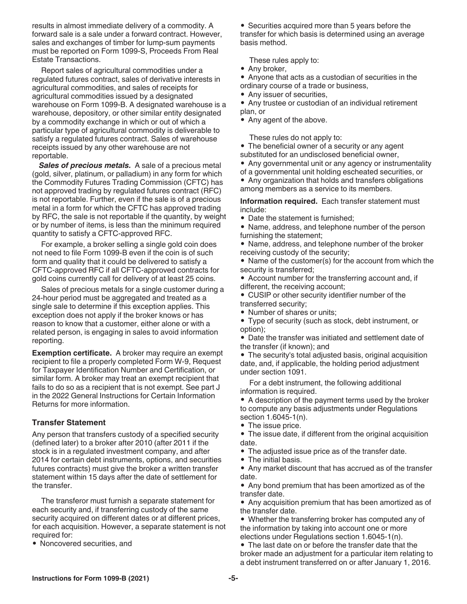<span id="page-4-0"></span>results in almost immediate delivery of a commodity. A forward sale is a sale under a forward contract. However, sales and exchanges of timber for lump-sum payments must be reported on Form 1099-S, Proceeds From Real Estate Transactions.

Report sales of agricultural commodities under a regulated futures contract, sales of derivative interests in agricultural commodities, and sales of receipts for agricultural commodities issued by a designated warehouse on Form 1099-B. A designated warehouse is a warehouse, depository, or other similar entity designated by a commodity exchange in which or out of which a particular type of agricultural commodity is deliverable to satisfy a regulated futures contract. Sales of warehouse receipts issued by any other warehouse are not reportable.

*Sales of precious metals.* A sale of a precious metal (gold, silver, platinum, or palladium) in any form for which the Commodity Futures Trading Commission (CFTC) has not approved trading by regulated futures contract (RFC) is not reportable. Further, even if the sale is of a precious metal in a form for which the CFTC has approved trading by RFC, the sale is not reportable if the quantity, by weight or by number of items, is less than the minimum required quantity to satisfy a CFTC-approved RFC.

For example, a broker selling a single gold coin does not need to file Form 1099-B even if the coin is of such form and quality that it could be delivered to satisfy a CFTC-approved RFC if all CFTC-approved contracts for gold coins currently call for delivery of at least 25 coins.

Sales of precious metals for a single customer during a 24-hour period must be aggregated and treated as a single sale to determine if this exception applies. This exception does not apply if the broker knows or has reason to know that a customer, either alone or with a related person, is engaging in sales to avoid information reporting.

**Exemption certificate.** A broker may require an exempt recipient to file a properly completed Form W-9, Request for Taxpayer Identification Number and Certification, or similar form. A broker may treat an exempt recipient that fails to do so as a recipient that is not exempt. See part J in the 2022 General Instructions for Certain Information Returns for more information.

#### **Transfer Statement**

Any person that transfers custody of a specified security (defined later) to a broker after 2010 (after 2011 if the stock is in a regulated investment company, and after 2014 for certain debt instruments, options, and securities futures contracts) must give the broker a written transfer statement within 15 days after the date of settlement for the transfer.

The transferor must furnish a separate statement for each security and, if transferring custody of the same security acquired on different dates or at different prices, for each acquisition. However, a separate statement is not required for:

• Noncovered securities, and

• Securities acquired more than 5 years before the transfer for which basis is determined using an average basis method.

These rules apply to:

- Any broker,
- Anyone that acts as a custodian of securities in the
- ordinary course of a trade or business,
- Any issuer of securities,
- Any trustee or custodian of an individual retirement plan, or
- Any agent of the above.

These rules do not apply to:

- The beneficial owner of a security or any agent substituted for an undisclosed beneficial owner,
- Any governmental unit or any agency or instrumentality
- of a governmental unit holding escheated securities, or • Any organization that holds and transfers obligations
- among members as a service to its members.

**Information required.** Each transfer statement must include:

- Date the statement is furnished;
- Name, address, and telephone number of the person furnishing the statement;
- Name, address, and telephone number of the broker receiving custody of the security;
- Name of the customer(s) for the account from which the security is transferred;
- Account number for the transferring account and, if different, the receiving account;
- CUSIP or other security identifier number of the transferred security;
- Number of shares or units;
- Type of security (such as stock, debt instrument, or option);

• Date the transfer was initiated and settlement date of the transfer (if known); and

• The security's total adjusted basis, original acquisition date, and, if applicable, the holding period adjustment under section 1091.

For a debt instrument, the following additional information is required.

• A description of the payment terms used by the broker to compute any basis adjustments under Regulations section 1.6045-1(n).

- The issue price.
- The issue date, if different from the original acquisition date.
- The adjusted issue price as of the transfer date.
- The initial basis.

• Any market discount that has accrued as of the transfer date.

• Any bond premium that has been amortized as of the transfer date.

• Any acquisition premium that has been amortized as of the transfer date.

• Whether the transferring broker has computed any of the information by taking into account one or more elections under Regulations section 1.6045-1(n).

• The last date on or before the transfer date that the broker made an adjustment for a particular item relating to a debt instrument transferred on or after January 1, 2016.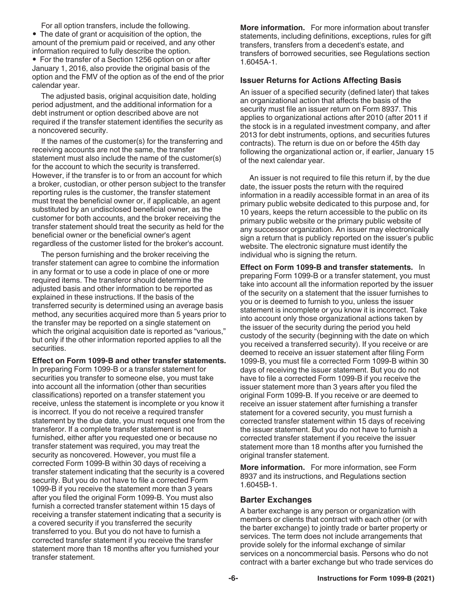<span id="page-5-0"></span>For all option transfers, include the following. • The date of grant or acquisition of the option, the amount of the premium paid or received, and any other information required to fully describe the option.

• For the transfer of a Section 1256 option on or after January 1, 2016, also provide the original basis of the option and the FMV of the option as of the end of the prior calendar year.

The adjusted basis, original acquisition date, holding period adjustment, and the additional information for a debt instrument or option described above are not required if the transfer statement identifies the security as a noncovered security.

If the names of the customer(s) for the transferring and receiving accounts are not the same, the transfer statement must also include the name of the customer(s) for the account to which the security is transferred. However, if the transfer is to or from an account for which a broker, custodian, or other person subject to the transfer reporting rules is the customer, the transfer statement must treat the beneficial owner or, if applicable, an agent substituted by an undisclosed beneficial owner, as the customer for both accounts, and the broker receiving the transfer statement should treat the security as held for the beneficial owner or the beneficial owner's agent regardless of the customer listed for the broker's account.

The person furnishing and the broker receiving the transfer statement can agree to combine the information in any format or to use a code in place of one or more required items. The transferor should determine the adjusted basis and other information to be reported as explained in these instructions. If the basis of the transferred security is determined using an average basis method, any securities acquired more than 5 years prior to the transfer may be reported on a single statement on which the original acquisition date is reported as "various," but only if the other information reported applies to all the securities.

**Effect on Form 1099-B and other transfer statements.**  In preparing Form 1099-B or a transfer statement for securities you transfer to someone else, you must take into account all the information (other than securities classifications) reported on a transfer statement you receive, unless the statement is incomplete or you know it is incorrect. If you do not receive a required transfer statement by the due date, you must request one from the transferor. If a complete transfer statement is not furnished, either after you requested one or because no transfer statement was required, you may treat the security as noncovered. However, you must file a corrected Form 1099-B within 30 days of receiving a transfer statement indicating that the security is a covered security. But you do not have to file a corrected Form 1099-B if you receive the statement more than 3 years after you filed the original Form 1099-B. You must also furnish a corrected transfer statement within 15 days of receiving a transfer statement indicating that a security is a covered security if you transferred the security transferred to you. But you do not have to furnish a corrected transfer statement if you receive the transfer statement more than 18 months after you furnished your transfer statement.

**More information.** For more information about transfer statements, including definitions, exceptions, rules for gift transfers, transfers from a decedent's estate, and transfers of borrowed securities, see Regulations section 1.6045A-1.

#### **Issuer Returns for Actions Affecting Basis**

An issuer of a specified security (defined later) that takes an organizational action that affects the basis of the security must file an issuer return on Form 8937. This applies to organizational actions after 2010 (after 2011 if the stock is in a regulated investment company, and after 2013 for debt instruments, options, and securities futures contracts). The return is due on or before the 45th day following the organizational action or, if earlier, January 15 of the next calendar year.

An issuer is not required to file this return if, by the due date, the issuer posts the return with the required information in a readily accessible format in an area of its primary public website dedicated to this purpose and, for 10 years, keeps the return accessible to the public on its primary public website or the primary public website of any successor organization. An issuer may electronically sign a return that is publicly reported on the issuer's public website. The electronic signature must identify the individual who is signing the return.

**Effect on Form 1099-B and transfer statements.** In preparing Form 1099-B or a transfer statement, you must take into account all the information reported by the issuer of the security on a statement that the issuer furnishes to you or is deemed to furnish to you, unless the issuer statement is incomplete or you know it is incorrect. Take into account only those organizational actions taken by the issuer of the security during the period you held custody of the security (beginning with the date on which you received a transferred security). If you receive or are deemed to receive an issuer statement after filing Form 1099-B, you must file a corrected Form 1099-B within 30 days of receiving the issuer statement. But you do not have to file a corrected Form 1099-B if you receive the issuer statement more than 3 years after you filed the original Form 1099-B. If you receive or are deemed to receive an issuer statement after furnishing a transfer statement for a covered security, you must furnish a corrected transfer statement within 15 days of receiving the issuer statement. But you do not have to furnish a corrected transfer statement if you receive the issuer statement more than 18 months after you furnished the original transfer statement.

**More information.** For more information, see Form 8937 and its instructions, and Regulations section 1.6045B-1.

#### **Barter Exchanges**

A barter exchange is any person or organization with members or clients that contract with each other (or with the barter exchange) to jointly trade or barter property or services. The term does not include arrangements that provide solely for the informal exchange of similar services on a noncommercial basis. Persons who do not contract with a barter exchange but who trade services do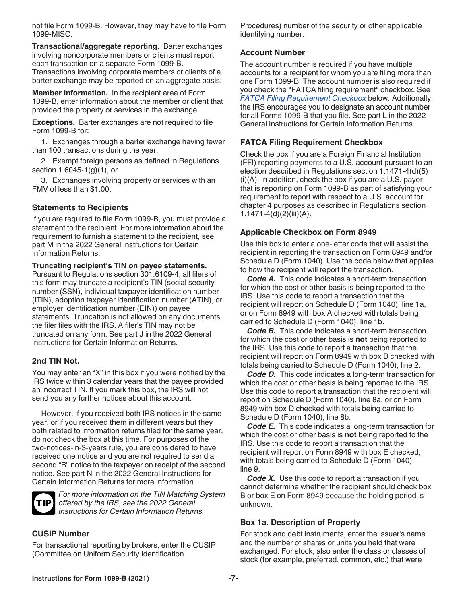<span id="page-6-0"></span>not file Form 1099-B. However, they may have to file Form 1099-MISC.

**Transactional/aggregate reporting.** Barter exchanges involving noncorporate members or clients must report each transaction on a separate Form 1099-B. Transactions involving corporate members or clients of a barter exchange may be reported on an aggregate basis.

**Member information.** In the recipient area of Form 1099-B, enter information about the member or client that provided the property or services in the exchange.

**Exceptions.** Barter exchanges are not required to file Form 1099-B for:

1. Exchanges through a barter exchange having fewer than 100 transactions during the year,

2. Exempt foreign persons as defined in Regulations section 1.6045-1(g)(1), or

3. Exchanges involving property or services with an FMV of less than \$1.00.

# **Statements to Recipients**

If you are required to file Form 1099-B, you must provide a statement to the recipient. For more information about the requirement to furnish a statement to the recipient, see part M in the 2022 General Instructions for Certain Information Returns.

#### **Truncating recipient's TIN on payee statements.**

Pursuant to Regulations section 301.6109-4, all filers of this form may truncate a recipient's TIN (social security number (SSN), individual taxpayer identification number (ITIN), adoption taxpayer identification number (ATIN), or employer identification number (EIN)) on payee statements. Truncation is not allowed on any documents the filer files with the IRS. A filer's TIN may not be truncated on any form. See part J in the 2022 General Instructions for Certain Information Returns.

#### **2nd TIN Not.**

You may enter an "X" in this box if you were notified by the IRS twice within 3 calendar years that the payee provided an incorrect TIN. If you mark this box, the IRS will not send you any further notices about this account.

However, if you received both IRS notices in the same year, or if you received them in different years but they both related to information returns filed for the same year, do not check the box at this time. For purposes of the two-notices-in-3-years rule, you are considered to have received one notice and you are not required to send a second "B" notice to the taxpayer on receipt of the second notice. See part N in the 2022 General Instructions for Certain Information Returns for more information.



*For more information on the TIN Matching System offered by the IRS, see the 2022 General Instructions for Certain Information Returns.*

#### **CUSIP Number**

For transactional reporting by brokers, enter the CUSIP (Committee on Uniform Security Identification

Procedures) number of the security or other applicable identifying number.

#### **Account Number**

The account number is required if you have multiple accounts for a recipient for whom you are filing more than one Form 1099-B. The account number is also required if you check the "FATCA filing requirement" checkbox. See *FATCA Filing Requirement Checkbox* below. Additionally, the IRS encourages you to designate an account number for all Forms 1099-B that you file. See part L in the 2022 General Instructions for Certain Information Returns.

# **FATCA Filing Requirement Checkbox**

Check the box if you are a Foreign Financial Institution (FFI) reporting payments to a U.S. account pursuant to an election described in Regulations section 1.1471-4(d)(5) (i)(A). In addition, check the box if you are a U.S. payer that is reporting on Form 1099-B as part of satisfying your requirement to report with respect to a U.S. account for chapter 4 purposes as described in Regulations section 1.1471-4(d)(2)(iii)(A).

#### **Applicable Checkbox on Form 8949**

Use this box to enter a one-letter code that will assist the recipient in reporting the transaction on Form 8949 and/or Schedule D (Form 1040). Use the code below that applies to how the recipient will report the transaction.

*Code A.* This code indicates a short-term transaction for which the cost or other basis is being reported to the IRS. Use this code to report a transaction that the recipient will report on Schedule D (Form 1040), line 1a, or on Form 8949 with box A checked with totals being carried to Schedule D (Form 1040), line 1b.

*Code B.* This code indicates a short-term transaction for which the cost or other basis is **not** being reported to the IRS. Use this code to report a transaction that the recipient will report on Form 8949 with box B checked with totals being carried to Schedule D (Form 1040), line 2.

*Code D.* This code indicates a long-term transaction for which the cost or other basis is being reported to the IRS. Use this code to report a transaction that the recipient will report on Schedule D (Form 1040), line 8a, or on Form 8949 with box D checked with totals being carried to Schedule D (Form 1040), line 8b.

*Code E.* This code indicates a long-term transaction for which the cost or other basis is **not** being reported to the IRS. Use this code to report a transaction that the recipient will report on Form 8949 with box E checked, with totals being carried to Schedule D (Form 1040), line 9.

*Code X.* Use this code to report a transaction if you cannot determine whether the recipient should check box B or box E on Form 8949 because the holding period is unknown.

#### **Box 1a. Description of Property**

For stock and debt instruments, enter the issuer's name and the number of shares or units you held that were exchanged. For stock, also enter the class or classes of stock (for example, preferred, common, etc.) that were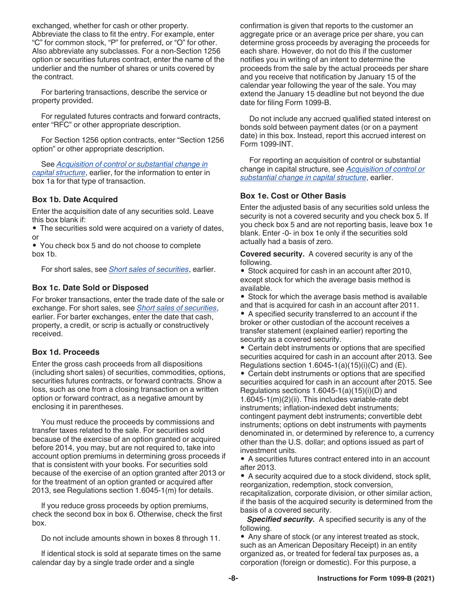<span id="page-7-0"></span>exchanged, whether for cash or other property. Abbreviate the class to fit the entry. For example, enter "C" for common stock, "P" for preferred, or "O" for other. Also abbreviate any subclasses. For a non-Section 1256 option or securities futures contract, enter the name of the underlier and the number of shares or units covered by the contract.

For bartering transactions, describe the service or property provided.

For regulated futures contracts and forward contracts, enter "RFC" or other appropriate description.

For Section 1256 option contracts, enter "Section 1256 option" or other appropriate description.

See *[Acquisition of control or substantial change in](#page-2-0) [capital structure](#page-2-0)*, earlier, for the information to enter in box 1a for that type of transaction.

#### **Box 1b. Date Acquired**

Enter the acquisition date of any securities sold. Leave this box blank if:

• The securities sold were acquired on a variety of dates, or

• You check box 5 and do not choose to complete box 1b.

For short sales, see *[Short sales of securities](#page-1-0)*, earlier.

#### **Box 1c. Date Sold or Disposed**

For broker transactions, enter the trade date of the sale or exchange. For short sales, see *[Short sales of securities](#page-1-0)*, earlier. For barter exchanges, enter the date that cash, property, a credit, or scrip is actually or constructively received.

#### **Box 1d. Proceeds**

Enter the gross cash proceeds from all dispositions (including short sales) of securities, commodities, options, securities futures contracts, or forward contracts. Show a loss, such as one from a closing transaction on a written option or forward contract, as a negative amount by enclosing it in parentheses.

You must reduce the proceeds by commissions and transfer taxes related to the sale. For securities sold because of the exercise of an option granted or acquired before 2014, you may, but are not required to, take into account option premiums in determining gross proceeds if that is consistent with your books. For securities sold because of the exercise of an option granted after 2013 or for the treatment of an option granted or acquired after 2013, see Regulations section 1.6045-1(m) for details.

If you reduce gross proceeds by option premiums, check the second box in box 6. Otherwise, check the first box.

Do not include amounts shown in boxes 8 through 11.

If identical stock is sold at separate times on the same calendar day by a single trade order and a single

confirmation is given that reports to the customer an aggregate price or an average price per share, you can determine gross proceeds by averaging the proceeds for each share. However, do not do this if the customer notifies you in writing of an intent to determine the proceeds from the sale by the actual proceeds per share and you receive that notification by January 15 of the calendar year following the year of the sale. You may extend the January 15 deadline but not beyond the due date for filing Form 1099-B.

Do not include any accrued qualified stated interest on bonds sold between payment dates (or on a payment date) in this box. Instead, report this accrued interest on Form 1099-INT.

For reporting an acquisition of control or substantial change in capital structure, see *[Acquisition of control or](#page-2-0) [substantial change in capital structure](#page-2-0)*, earlier.

#### **Box 1e. Cost or Other Basis**

Enter the adjusted basis of any securities sold unless the security is not a covered security and you check box 5. If you check box 5 and are not reporting basis, leave box 1e blank. Enter -0- in box 1e only if the securities sold actually had a basis of zero.

**Covered security.** A covered security is any of the following.

• Stock acquired for cash in an account after 2010, except stock for which the average basis method is available.

• Stock for which the average basis method is available and that is acquired for cash in an account after 2011.

• A specified security transferred to an account if the broker or other custodian of the account receives a transfer statement (explained earlier) reporting the security as a covered security.

• Certain debt instruments or options that are specified securities acquired for cash in an account after 2013. See Regulations section  $1.6045-1(a)(15)(i)(C)$  and  $(E)$ .

• Certain debt instruments or options that are specified securities acquired for cash in an account after 2015. See Regulations sections 1.6045-1(a)(15)(i)(D) and 1.6045-1(m)(2)(ii). This includes variable-rate debt instruments; inflation-indexed debt instruments; contingent payment debt instruments; convertible debt instruments; options on debt instruments with payments denominated in, or determined by reference to, a currency other than the U.S. dollar; and options issued as part of investment units.

• A securities futures contract entered into in an account after 2013.

• A security acquired due to a stock dividend, stock split, reorganization, redemption, stock conversion,

recapitalization, corporate division, or other similar action, if the basis of the acquired security is determined from the basis of a covered security.

*Specified security.* A specified security is any of the following.

• Any share of stock (or any interest treated as stock, such as an American Depositary Receipt) in an entity organized as, or treated for federal tax purposes as, a corporation (foreign or domestic). For this purpose, a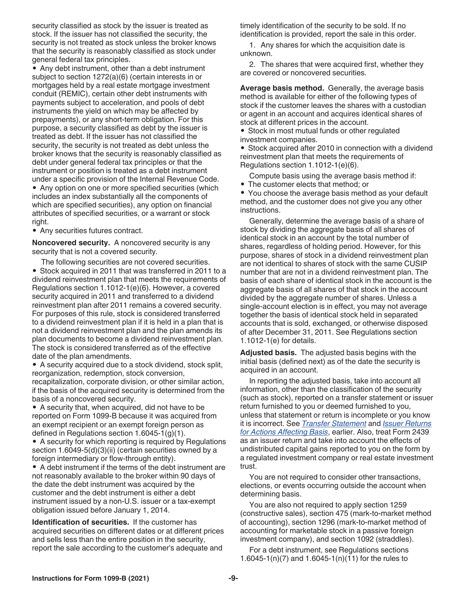security classified as stock by the issuer is treated as stock. If the issuer has not classified the security, the security is not treated as stock unless the broker knows that the security is reasonably classified as stock under general federal tax principles.

• Any debt instrument, other than a debt instrument subject to section 1272(a)(6) (certain interests in or mortgages held by a real estate mortgage investment conduit (REMIC), certain other debt instruments with payments subject to acceleration, and pools of debt instruments the yield on which may be affected by prepayments), or any short-term obligation. For this purpose, a security classified as debt by the issuer is treated as debt. If the issuer has not classified the security, the security is not treated as debt unless the broker knows that the security is reasonably classified as debt under general federal tax principles or that the instrument or position is treated as a debt instrument under a specific provision of the Internal Revenue Code.

• Any option on one or more specified securities (which includes an index substantially all the components of which are specified securities), any option on financial attributes of specified securities, or a warrant or stock right.

• Any securities futures contract.

**Noncovered security.** A noncovered security is any security that is not a covered security.

The following securities are not covered securities. • Stock acquired in 2011 that was transferred in 2011 to a dividend reinvestment plan that meets the requirements of Regulations section 1.1012-1(e)(6). However, a covered security acquired in 2011 and transferred to a dividend reinvestment plan after 2011 remains a covered security. For purposes of this rule, stock is considered transferred to a dividend reinvestment plan if it is held in a plan that is not a dividend reinvestment plan and the plan amends its plan documents to become a dividend reinvestment plan. The stock is considered transferred as of the effective date of the plan amendments.

• A security acquired due to a stock dividend, stock split, reorganization, redemption, stock conversion, recapitalization, corporate division, or other similar action, if the basis of the acquired security is determined from the basis of a noncovered security.

• A security that, when acquired, did not have to be reported on Form 1099-B because it was acquired from an exempt recipient or an exempt foreign person as defined in Regulations section 1.6045-1(g)(1).

• A security for which reporting is required by Regulations section 1.6049-5(d)(3)(ii) (certain securities owned by a foreign intermediary or flow-through entity).

• A debt instrument if the terms of the debt instrument are not reasonably available to the broker within 90 days of the date the debt instrument was acquired by the customer and the debt instrument is either a debt instrument issued by a non-U.S. issuer or a tax-exempt obligation issued before January 1, 2014.

**Identification of securities.** If the customer has acquired securities on different dates or at different prices and sells less than the entire position in the security, report the sale according to the customer's adequate and

timely identification of the security to be sold. If no identification is provided, report the sale in this order.

1. Any shares for which the acquisition date is unknown.

2. The shares that were acquired first, whether they are covered or noncovered securities.

**Average basis method.** Generally, the average basis method is available for either of the following types of stock if the customer leaves the shares with a custodian or agent in an account and acquires identical shares of stock at different prices in the account.

• Stock in most mutual funds or other regulated investment companies.

• Stock acquired after 2010 in connection with a dividend reinvestment plan that meets the requirements of Regulations section 1.1012-1(e)(6).

Compute basis using the average basis method if: • The customer elects that method; or

• You choose the average basis method as your default method, and the customer does not give you any other instructions.

Generally, determine the average basis of a share of stock by dividing the aggregate basis of all shares of identical stock in an account by the total number of shares, regardless of holding period. However, for this purpose, shares of stock in a dividend reinvestment plan are not identical to shares of stock with the same CUSIP number that are not in a dividend reinvestment plan. The basis of each share of identical stock in the account is the aggregate basis of all shares of that stock in the account divided by the aggregate number of shares. Unless a single-account election is in effect, you may not average together the basis of identical stock held in separated accounts that is sold, exchanged, or otherwise disposed of after December 31, 2011. See Regulations section 1.1012-1(e) for details.

**Adjusted basis.** The adjusted basis begins with the initial basis (defined next) as of the date the security is acquired in an account.

In reporting the adjusted basis, take into account all information, other than the classification of the security (such as stock), reported on a transfer statement or issuer return furnished to you or deemed furnished to you, unless that statement or return is incomplete or you know it is incorrect. See *[Transfer Statement](#page-4-0)* and *[Issuer Returns](#page-5-0) [for Actions Affecting Basis](#page-5-0)*, earlier. Also, treat Form 2439 as an issuer return and take into account the effects of undistributed capital gains reported to you on the form by a regulated investment company or real estate investment trust.

You are not required to consider other transactions, elections, or events occurring outside the account when determining basis.

You are also not required to apply section 1259 (constructive sales), section 475 (mark-to-market method of accounting), section 1296 (mark-to-market method of accounting for marketable stock in a passive foreign investment company), and section 1092 (straddles).

For a debt instrument, see Regulations sections 1.6045-1(n)(7) and 1.6045-1(n)(11) for the rules to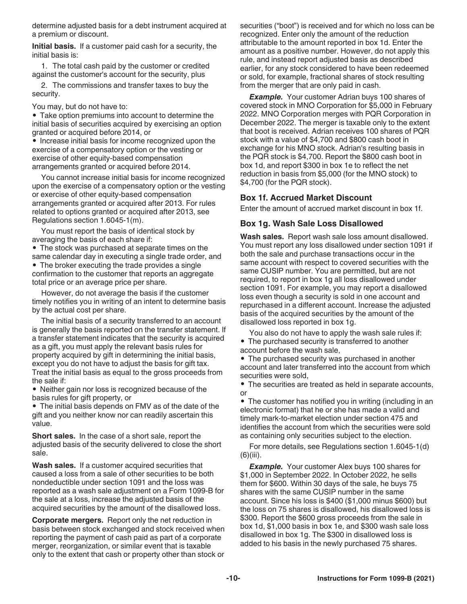determine adjusted basis for a debt instrument acquired at a premium or discount.

**Initial basis.** If a customer paid cash for a security, the initial basis is:

1. The total cash paid by the customer or credited against the customer's account for the security, plus

2. The commissions and transfer taxes to buy the security.

You may, but do not have to:

• Take option premiums into account to determine the initial basis of securities acquired by exercising an option granted or acquired before 2014, or

• Increase initial basis for income recognized upon the exercise of a compensatory option or the vesting or exercise of other equity-based compensation arrangements granted or acquired before 2014.

You cannot increase initial basis for income recognized upon the exercise of a compensatory option or the vesting or exercise of other equity-based compensation arrangements granted or acquired after 2013. For rules related to options granted or acquired after 2013, see Regulations section 1.6045-1(m).

You must report the basis of identical stock by averaging the basis of each share if:

• The stock was purchased at separate times on the same calendar day in executing a single trade order, and • The broker executing the trade provides a single confirmation to the customer that reports an aggregate total price or an average price per share.

However, do not average the basis if the customer timely notifies you in writing of an intent to determine basis by the actual cost per share.

The initial basis of a security transferred to an account is generally the basis reported on the transfer statement. If a transfer statement indicates that the security is acquired as a gift, you must apply the relevant basis rules for property acquired by gift in determining the initial basis, except you do not have to adjust the basis for gift tax. Treat the initial basis as equal to the gross proceeds from the sale if:

• Neither gain nor loss is recognized because of the basis rules for gift property, or

• The initial basis depends on FMV as of the date of the gift and you neither know nor can readily ascertain this value.

**Short sales.** In the case of a short sale, report the adjusted basis of the security delivered to close the short sale.

**Wash sales.** If a customer acquired securities that caused a loss from a sale of other securities to be both nondeductible under section 1091 and the loss was reported as a wash sale adjustment on a Form 1099-B for the sale at a loss, increase the adjusted basis of the acquired securities by the amount of the disallowed loss.

**Corporate mergers.** Report only the net reduction in basis between stock exchanged and stock received when reporting the payment of cash paid as part of a corporate merger, reorganization, or similar event that is taxable only to the extent that cash or property other than stock or securities ("boot") is received and for which no loss can be recognized. Enter only the amount of the reduction attributable to the amount reported in box 1d. Enter the amount as a positive number. However, do not apply this rule, and instead report adjusted basis as described earlier, for any stock considered to have been redeemed or sold, for example, fractional shares of stock resulting from the merger that are only paid in cash.

*Example.* Your customer Adrian buys 100 shares of covered stock in MNO Corporation for \$5,000 in February 2022. MNO Corporation merges with PQR Corporation in December 2022. The merger is taxable only to the extent that boot is received. Adrian receives 100 shares of PQR stock with a value of \$4,700 and \$800 cash boot in exchange for his MNO stock. Adrian's resulting basis in the PQR stock is \$4,700. Report the \$800 cash boot in box 1d, and report \$300 in box 1e to reflect the net reduction in basis from \$5,000 (for the MNO stock) to \$4,700 (for the PQR stock).

# **Box 1f. Accrued Market Discount**

Enter the amount of accrued market discount in box 1f.

# **Box 1g. Wash Sale Loss Disallowed**

**Wash sales.** Report wash sale loss amount disallowed. You must report any loss disallowed under section 1091 if both the sale and purchase transactions occur in the same account with respect to covered securities with the same CUSIP number. You are permitted, but are not required, to report in box 1g all loss disallowed under section 1091. For example, you may report a disallowed loss even though a security is sold in one account and repurchased in a different account. Increase the adjusted basis of the acquired securities by the amount of the disallowed loss reported in box 1g.

You also do not have to apply the wash sale rules if:

• The purchased security is transferred to another account before the wash sale,

• The purchased security was purchased in another account and later transferred into the account from which securities were sold,

• The securities are treated as held in separate accounts, or

• The customer has notified you in writing (including in an electronic format) that he or she has made a valid and timely mark-to-market election under section 475 and identifies the account from which the securities were sold as containing only securities subject to the election.

For more details, see Regulations section 1.6045-1(d)  $(6)(iii)$ .

**Example.** Your customer Alex buys 100 shares for \$1,000 in September 2022. In October 2022, he sells them for \$600. Within 30 days of the sale, he buys 75 shares with the same CUSIP number in the same account. Since his loss is \$400 (\$1,000 minus \$600) but the loss on 75 shares is disallowed, his disallowed loss is \$300. Report the \$600 gross proceeds from the sale in box 1d, \$1,000 basis in box 1e, and \$300 wash sale loss disallowed in box 1g. The \$300 in disallowed loss is added to his basis in the newly purchased 75 shares.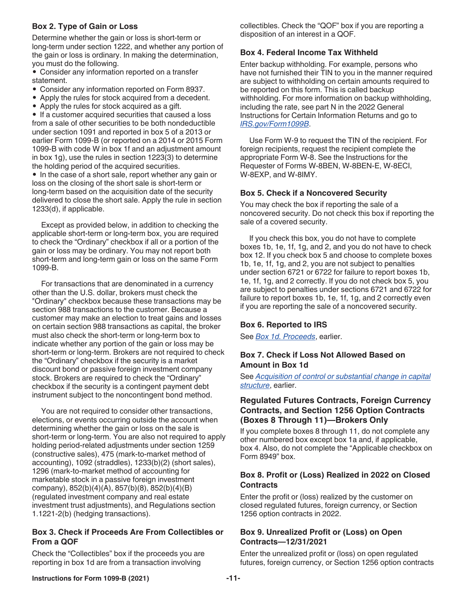# **Box 2. Type of Gain or Loss**

Determine whether the gain or loss is short-term or long-term under section 1222, and whether any portion of the gain or loss is ordinary. In making the determination, you must do the following.

• Consider any information reported on a transfer statement.

- Consider any information reported on Form 8937.
- Apply the rules for stock acquired from a decedent.
- Apply the rules for stock acquired as a gift.

• If a customer acquired securities that caused a loss from a sale of other securities to be both nondeductible under section 1091 and reported in box 5 of a 2013 or earlier Form 1099-B (or reported on a 2014 or 2015 Form 1099-B with code W in box 1f and an adjustment amount in box 1g), use the rules in section 1223(3) to determine the holding period of the acquired securities.

• In the case of a short sale, report whether any gain or loss on the closing of the short sale is short-term or long-term based on the acquisition date of the security delivered to close the short sale. Apply the rule in section 1233(d), if applicable.

Except as provided below, in addition to checking the applicable short-term or long-term box, you are required to check the "Ordinary" checkbox if all or a portion of the gain or loss may be ordinary. You may not report both short-term and long-term gain or loss on the same Form 1099-B.

For transactions that are denominated in a currency other than the U.S. dollar, brokers must check the "Ordinary" checkbox because these transactions may be section 988 transactions to the customer. Because a customer may make an election to treat gains and losses on certain section 988 transactions as capital, the broker must also check the short-term or long-term box to indicate whether any portion of the gain or loss may be short-term or long-term. Brokers are not required to check the "Ordinary" checkbox if the security is a market discount bond or passive foreign investment company stock. Brokers are required to check the "Ordinary" checkbox if the security is a contingent payment debt instrument subject to the noncontingent bond method.

You are not required to consider other transactions, elections, or events occurring outside the account when determining whether the gain or loss on the sale is short-term or long-term. You are also not required to apply holding period-related adjustments under section 1259 (constructive sales), 475 (mark-to-market method of accounting), 1092 (straddles), 1233(b)(2) (short sales), 1296 (mark-to-market method of accounting for marketable stock in a passive foreign investment company), 852(b)(4)(A), 857(b)(8), 852(b)(4)(B) (regulated investment company and real estate investment trust adjustments), and Regulations section 1.1221-2(b) (hedging transactions).

# **Box 3. Check if Proceeds Are From Collectibles or From a QOF**

Check the "Collectibles" box if the proceeds you are reporting in box 1d are from a transaction involving

collectibles. Check the "QOF" box if you are reporting a disposition of an interest in a QOF.

# **Box 4. Federal Income Tax Withheld**

Enter backup withholding. For example, persons who have not furnished their TIN to you in the manner required are subject to withholding on certain amounts required to be reported on this form. This is called backup withholding. For more information on backup withholding, including the rate, see part N in the 2022 General Instructions for Certain Information Returns and go to *[IRS.gov/Form1099B](https://www.irs.gov/form1099b)*.

Use Form W-9 to request the TIN of the recipient. For foreign recipients, request the recipient complete the appropriate Form W-8. See the Instructions for the Requester of Forms W-8BEN, W-8BEN-E, W-8ECI, W-8EXP, and W-8IMY.

# **Box 5. Check if a Noncovered Security**

You may check the box if reporting the sale of a noncovered security. Do not check this box if reporting the sale of a covered security.

If you check this box, you do not have to complete boxes 1b, 1e, 1f, 1g, and 2, and you do not have to check box 12. If you check box 5 and choose to complete boxes 1b, 1e, 1f, 1g, and 2, you are not subject to penalties under section 6721 or 6722 for failure to report boxes 1b, 1e, 1f, 1g, and 2 correctly. If you do not check box 5, you are subject to penalties under sections 6721 and 6722 for failure to report boxes 1b, 1e, 1f, 1g, and 2 correctly even if you are reporting the sale of a noncovered security.

#### **Box 6. Reported to IRS**

See *[Box 1d. Proceeds](#page-7-0)*, earlier.

# **Box 7. Check if Loss Not Allowed Based on Amount in Box 1d**

See *[Acquisition of control or substantial change in capital](#page-2-0)  [structure](#page-2-0)*, earlier.

# **Regulated Futures Contracts, Foreign Currency Contracts, and Section 1256 Option Contracts (Boxes 8 Through 11)—Brokers Only**

If you complete boxes 8 through 11, do not complete any other numbered box except box 1a and, if applicable, box 4. Also, do not complete the "Applicable checkbox on Form 8949" box.

# **Box 8. Profit or (Loss) Realized in 2022 on Closed Contracts**

Enter the profit or (loss) realized by the customer on closed regulated futures, foreign currency, or Section 1256 option contracts in 2022.

# **Box 9. Unrealized Profit or (Loss) on Open Contracts—12/31/2021**

Enter the unrealized profit or (loss) on open regulated futures, foreign currency, or Section 1256 option contracts